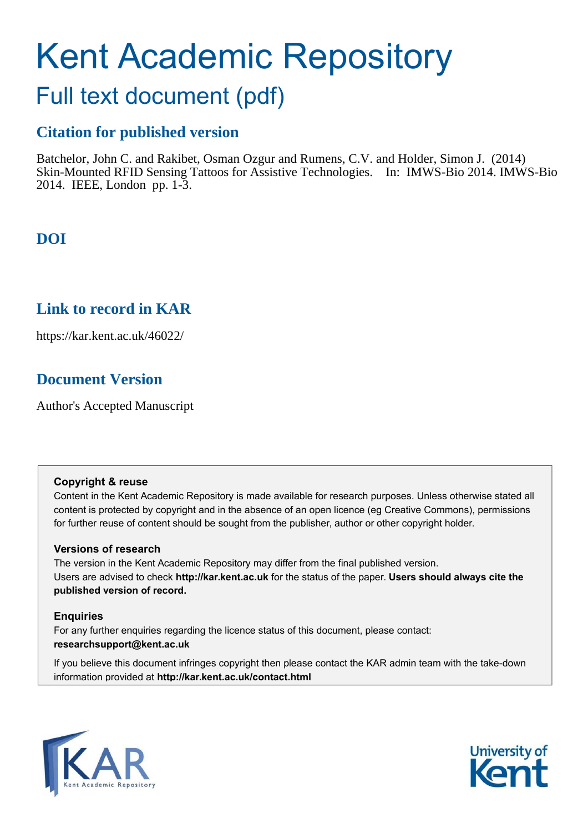# Kent Academic Repository

## Full text document (pdf)

## **Citation for published version**

Batchelor, John C. and Rakibet, Osman Ozgur and Rumens, C.V. and Holder, Simon J. (2014) Skin-Mounted RFID Sensing Tattoos for Assistive Technologies. In: IMWS-Bio 2014. IMWS-Bio 2014. IEEE, London pp. 1-3.

## **DOI**

## **Link to record in KAR**

https://kar.kent.ac.uk/46022/

## **Document Version**

Author's Accepted Manuscript

## **Copyright & reuse**

Content in the Kent Academic Repository is made available for research purposes. Unless otherwise stated all content is protected by copyright and in the absence of an open licence (eg Creative Commons), permissions for further reuse of content should be sought from the publisher, author or other copyright holder.

## **Versions of research**

The version in the Kent Academic Repository may differ from the final published version. Users are advised to check **http://kar.kent.ac.uk** for the status of the paper. **Users should always cite the published version of record.**

## **Enquiries**

For any further enquiries regarding the licence status of this document, please contact: **researchsupport@kent.ac.uk**

If you believe this document infringes copyright then please contact the KAR admin team with the take-down information provided at **http://kar.kent.ac.uk/contact.html**



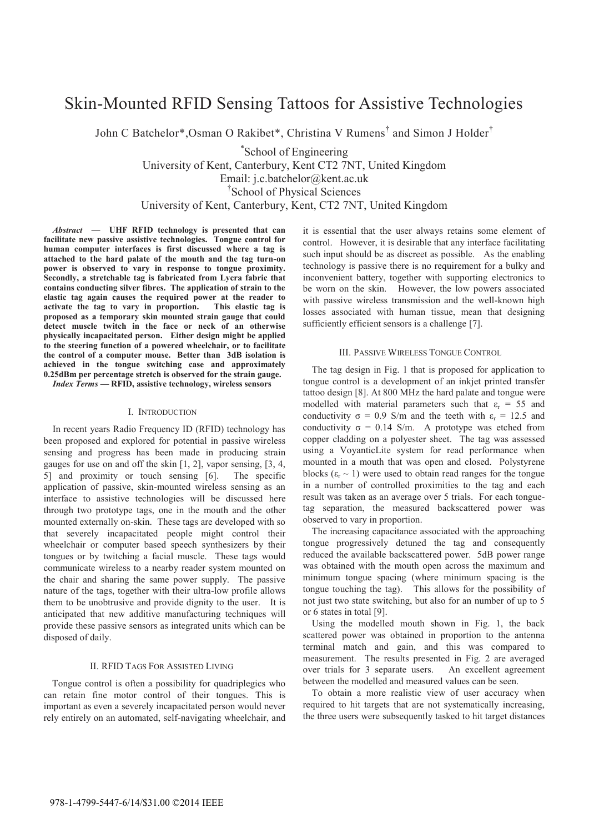## Skin-Mounted RFID Sensing Tattoos for Assistive Technologies

John C Batchelor\*, Osman O Rakibet\*, Christina V Rumens<sup>†</sup> and Simon J Holder<sup>†</sup>

\* School of Engineering University of Kent, Canterbury, Kent CT2 7NT, United Kingdom Email: j.c.batchelor@kent.ac.uk <sup>†</sup>School of Physical Sciences University of Kent, Canterbury, Kent, CT2 7NT, United Kingdom

*Abstract*  $\qquad$  UHF RFID technology is presented that can **facilitate new passive assistive technologies. Tongue control for human computer interfaces is first discussed where a tag is attached to the hard palate of the mouth and the tag turn-on power is observed to vary in response to tongue proximity. Secondly, a stretchable tag is fabricated from Lycra fabric that contains conducting silver fibres. The application of strain to the elastic tag again causes the required power at the reader to activate the tag to vary in proportion. This elastic tag is proposed as a temporary skin mounted strain gauge that could detect muscle twitch in the face or neck of an otherwise physically incapacitated person. Either design might be applied to the steering function of a powered wheelchair, or to facilitate the control of a computer mouse. Better than 3dB isolation is achieved in the tongue switching case and approximately 0.25dBm per percentage stretch is observed for the strain gauge.** 

*Index Terms* - RFID, assistive technology, wireless sensors

#### I. INTRODUCTION

In recent years Radio Frequency ID (RFID) technology has been proposed and explored for potential in passive wireless sensing and progress has been made in producing strain gauges for use on and off the skin [1, 2], vapor sensing, [3, 4, 5] and proximity or touch sensing [6]. The specific application of passive, skin-mounted wireless sensing as an interface to assistive technologies will be discussed here through two prototype tags, one in the mouth and the other mounted externally on-skin. These tags are developed with so that severely incapacitated people might control their wheelchair or computer based speech synthesizers by their tongues or by twitching a facial muscle. These tags would communicate wireless to a nearby reader system mounted on the chair and sharing the same power supply. The passive nature of the tags, together with their ultra-low profile allows them to be unobtrusive and provide dignity to the user. It is anticipated that new additive manufacturing techniques will provide these passive sensors as integrated units which can be disposed of daily.

#### II. RFID TAGS FOR ASSISTED LIVING

Tongue control is often a possibility for quadriplegics who can retain fine motor control of their tongues. This is important as even a severely incapacitated person would never rely entirely on an automated, self-navigating wheelchair, and it is essential that the user always retains some element of control. However, it is desirable that any interface facilitating such input should be as discreet as possible. As the enabling technology is passive there is no requirement for a bulky and inconvenient battery, together with supporting electronics to be worn on the skin. However, the low powers associated with passive wireless transmission and the well-known high losses associated with human tissue, mean that designing sufficiently efficient sensors is a challenge [7].

#### III. PASSIVE WIRELESS TONGUE CONTROL

The tag design in Fig. 1 that is proposed for application to tongue control is a development of an inkjet printed transfer tattoo design [8]. At 800 MHz the hard palate and tongue were modelled with material parameters such that  $\varepsilon_r = 55$  and conductivity  $\sigma = 0.9$  S/m and the teeth with  $\varepsilon_r = 12.5$  and conductivity  $\sigma = 0.14$  S/m. A prototype was etched from copper cladding on a polyester sheet. The tag was assessed using a VoyanticLite system for read performance when mounted in a mouth that was open and closed. Polystyrene blocks ( $\varepsilon_r \sim 1$ ) were used to obtain read ranges for the tongue in a number of controlled proximities to the tag and each result was taken as an average over 5 trials. For each tonguetag separation, the measured backscattered power was observed to vary in proportion.

The increasing capacitance associated with the approaching tongue progressively detuned the tag and consequently reduced the available backscattered power. 5dB power range was obtained with the mouth open across the maximum and minimum tongue spacing (where minimum spacing is the tongue touching the tag). This allows for the possibility of not just two state switching, but also for an number of up to 5 or 6 states in total [9].

Using the modelled mouth shown in Fig. 1, the back scattered power was obtained in proportion to the antenna terminal match and gain, and this was compared to measurement. The results presented in Fig. 2 are averaged over trials for 3 separate users. An excellent agreement between the modelled and measured values can be seen.

To obtain a more realistic view of user accuracy when required to hit targets that are not systematically increasing, the three users were subsequently tasked to hit target distances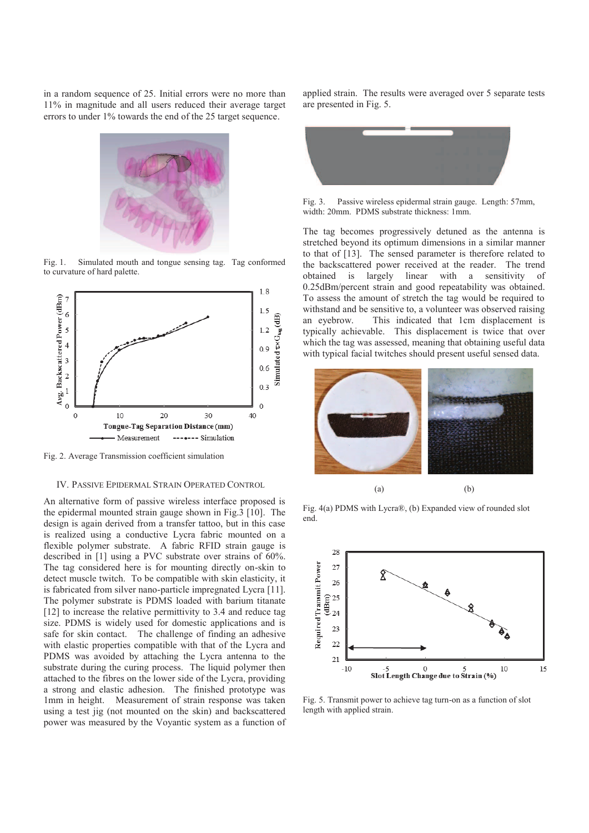in a random sequence of 25. Initial errors were no more than 11% in magnitude and all users reduced their average target errors to under 1% towards the end of the 25 target sequence.



Fig. 1. Simulated mouth and tongue sensing tag. Tag conformed to curvature of hard palette.



Fig. 2. Average Transmission coefficient simulation

#### IV. PASSIVE EPIDERMAL STRAIN OPERATED CONTROL

An alternative form of passive wireless interface proposed is the epidermal mounted strain gauge shown in Fig.3 [10]. The design is again derived from a transfer tattoo, but in this case is realized using a conductive Lycra fabric mounted on a flexible polymer substrate. A fabric RFID strain gauge is described in [1] using a PVC substrate over strains of 60%. The tag considered here is for mounting directly on-skin to detect muscle twitch. To be compatible with skin elasticity, it is fabricated from silver nano-particle impregnated Lycra [11]. The polymer substrate is PDMS loaded with barium titanate [12] to increase the relative permittivity to 3.4 and reduce tag size. PDMS is widely used for domestic applications and is safe for skin contact. The challenge of finding an adhesive with elastic properties compatible with that of the Lycra and PDMS was avoided by attaching the Lycra antenna to the substrate during the curing process. The liquid polymer then attached to the fibres on the lower side of the Lycra, providing a strong and elastic adhesion. The finished prototype was 1mm in height. Measurement of strain response was taken using a test jig (not mounted on the skin) and backscattered power was measured by the Voyantic system as a function of applied strain. The results were averaged over 5 separate tests are presented in Fig. 5.



Fig. 3. Passive wireless epidermal strain gauge. Length: 57mm, width: 20mm. PDMS substrate thickness: 1mm.

The tag becomes progressively detuned as the antenna is stretched beyond its optimum dimensions in a similar manner to that of [13]. The sensed parameter is therefore related to the backscattered power received at the reader. The trend obtained is largely linear with a sensitivity of 0.25dBm/percent strain and good repeatability was obtained. To assess the amount of stretch the tag would be required to withstand and be sensitive to, a volunteer was observed raising an eyebrow. This indicated that 1cm displacement is typically achievable. This displacement is twice that over which the tag was assessed, meaning that obtaining useful data with typical facial twitches should present useful sensed data.



Fig. 4(a) PDMS with LycraÆ, (b) Expanded view of rounded slot end.



Fig. 5. Transmit power to achieve tag turn-on as a function of slot length with applied strain.